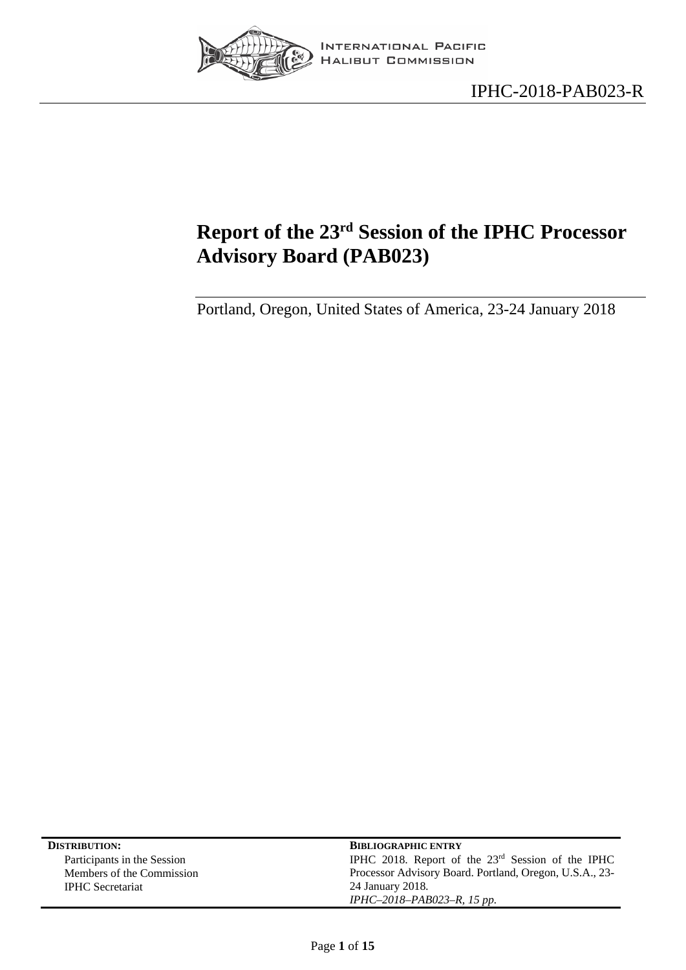

# <span id="page-0-0"></span>**Report of the 23rd Session of the IPHC Processor Advisory Board (PAB023)**

Portland, Oregon, United States of America, 23-24 January 2018

| <b>DISTRIBUTION:</b>        | <b>BIBLIOGRAPHIC ENTRY</b>                              |
|-----------------------------|---------------------------------------------------------|
| Participants in the Session | IPHC 2018. Report of the $23rd$ Session of the IPHC     |
| Members of the Commission   | Processor Advisory Board. Portland, Oregon, U.S.A., 23- |
| <b>IPHC</b> Secretariat     | 24 January 2018.                                        |
|                             | $IPHC-2018-PAB023-R$ , 15 pp.                           |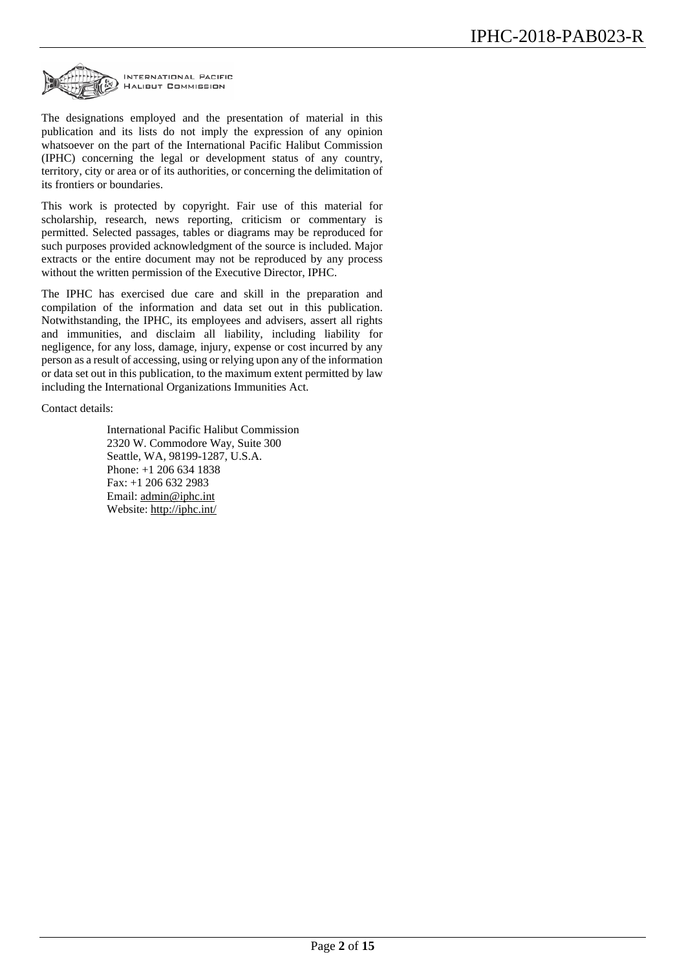

The designations employed and the presentation of material in this publication and its lists do not imply the expression of any opinion whatsoever on the part of the International Pacific Halibut Commission (IPHC) concerning the legal or development status of any country, territory, city or area or of its authorities, or concerning the delimitation of its frontiers or boundaries.

This work is protected by copyright. Fair use of this material for scholarship, research, news reporting, criticism or commentary is permitted. Selected passages, tables or diagrams may be reproduced for such purposes provided acknowledgment of the source is included. Major extracts or the entire document may not be reproduced by any process without the written permission of the Executive Director, IPHC.

The IPHC has exercised due care and skill in the preparation and compilation of the information and data set out in this publication. Notwithstanding, the IPHC, its employees and advisers, assert all rights and immunities, and disclaim all liability, including liability for negligence, for any loss, damage, injury, expense or cost incurred by any person as a result of accessing, using or relying upon any of the information or data set out in this publication, to the maximum extent permitted by law including the International Organizations Immunities Act.

Contact details:

International Pacific Halibut Commission 2320 W. Commodore Way, Suite 300 Seattle, WA, 98199-1287, U.S.A. Phone: +1 206 634 1838 Fax: +1 206 632 2983 Email: [admin@iphc.int](mailto:admin@iphc.int) Website:<http://iphc.int/>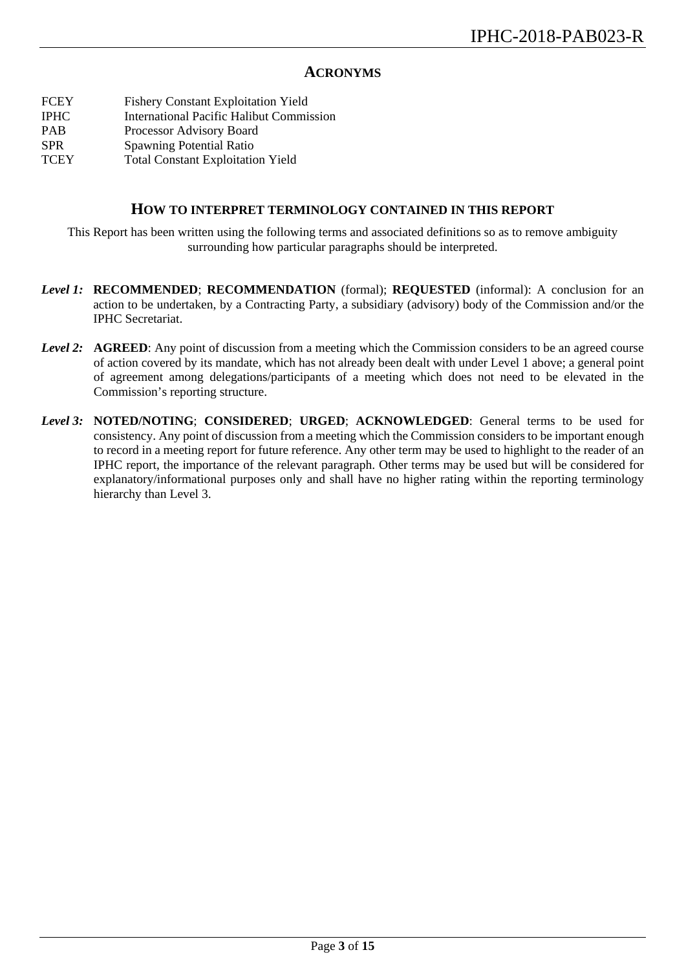### **ACRONYMS**

- FCEY Fishery Constant Exploitation Yield
- IPHC International Pacific Halibut Commission
- PAB Processor Advisory Board
- SPR Spawning Potential Ratio
- TCEY Total Constant Exploitation Yield

#### **HOW TO INTERPRET TERMINOLOGY CONTAINED IN THIS REPORT**

This Report has been written using the following terms and associated definitions so as to remove ambiguity surrounding how particular paragraphs should be interpreted.

- *Level 1:* **RECOMMENDED**; **RECOMMENDATION** (formal); **REQUESTED** (informal): A conclusion for an action to be undertaken, by a Contracting Party, a subsidiary (advisory) body of the Commission and/or the IPHC Secretariat.
- *Level 2:* **AGREED**: Any point of discussion from a meeting which the Commission considers to be an agreed course of action covered by its mandate, which has not already been dealt with under Level 1 above; a general point of agreement among delegations/participants of a meeting which does not need to be elevated in the Commission's reporting structure.
- *Level 3:* **NOTED/NOTING**; **CONSIDERED**; **URGED**; **ACKNOWLEDGED**: General terms to be used for consistency. Any point of discussion from a meeting which the Commission considers to be important enough to record in a meeting report for future reference. Any other term may be used to highlight to the reader of an IPHC report, the importance of the relevant paragraph. Other terms may be used but will be considered for explanatory/informational purposes only and shall have no higher rating within the reporting terminology hierarchy than Level 3.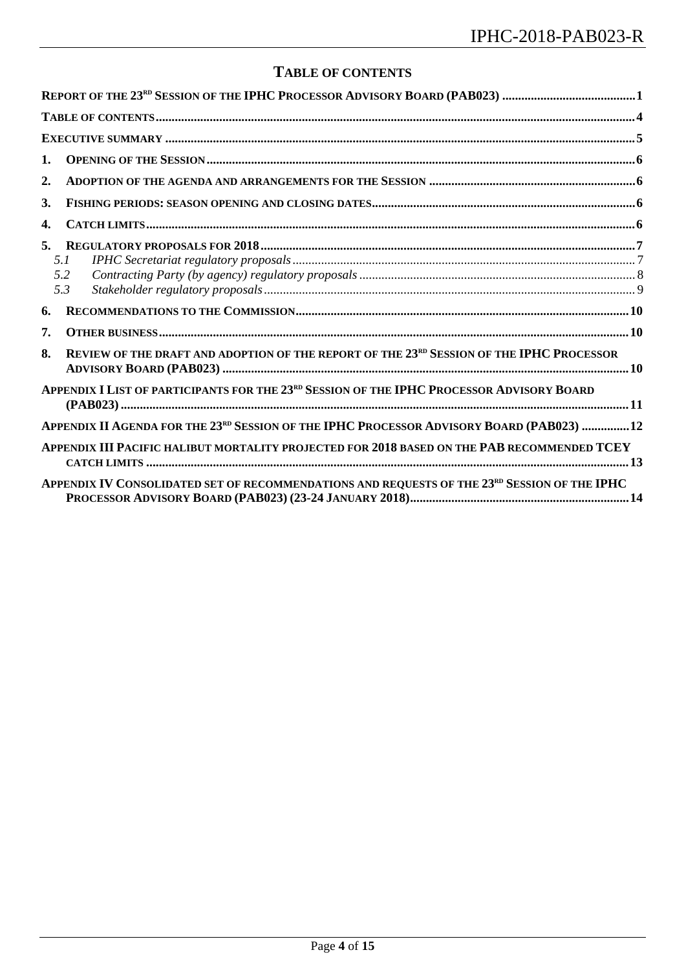# **TABLE OF CONTENTS**

<span id="page-3-0"></span>

| 1.               |                                                                                                       |
|------------------|-------------------------------------------------------------------------------------------------------|
| $\overline{2}$ . |                                                                                                       |
| 3.               |                                                                                                       |
| $\overline{4}$ . |                                                                                                       |
| 5 <sub>1</sub>   | 51<br>5.2<br>5.3                                                                                      |
| 6.               |                                                                                                       |
| 7.               |                                                                                                       |
| 8.               | REVIEW OF THE DRAFT AND ADOPTION OF THE REPORT OF THE 23RD SESSION OF THE IPHC PROCESSOR              |
|                  | APPENDIX I LIST OF PARTICIPANTS FOR THE 23 <sup>RD</sup> SESSION OF THE IPHC PROCESSOR ADVISORY BOARD |
|                  | APPENDIX II AGENDA FOR THE 23RD SESSION OF THE IPHC PROCESSOR ADVISORY BOARD (PAB023) 12              |
|                  | APPENDIX III PACIFIC HALIBUT MORTALITY PROJECTED FOR 2018 BASED ON THE PAB RECOMMENDED TCEY           |
|                  | APPENDIX IV CONSOLIDATED SET OF RECOMMENDATIONS AND REQUESTS OF THE 23RD SESSION OF THE IPHC          |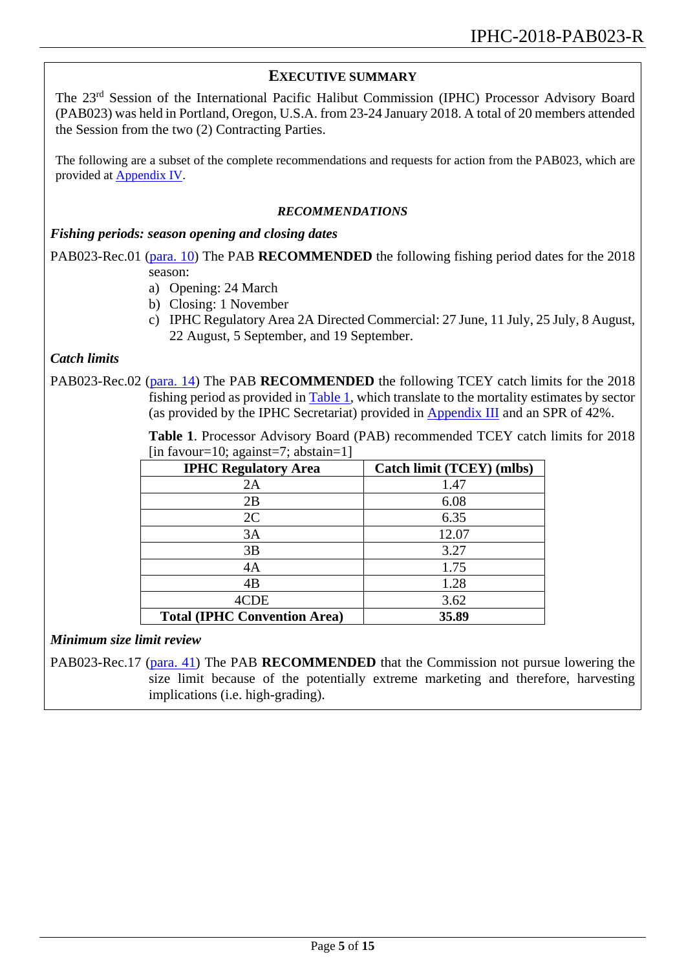## <span id="page-4-0"></span>**EXECUTIVE SUMMARY**

The 23rd Session of the International Pacific Halibut Commission (IPHC) Processor Advisory Board (PAB023) was held in Portland, Oregon, U.S.A. from 23-24 January 2018. A total of 20 members attended the Session from the two (2) Contracting Parties.

The following are a subset of the complete recommendations and requests for action from the PAB023, which are provided at [Appendix IV.](#page-13-0)

#### *RECOMMENDATIONS*

### *Fishing periods: season opening and closing dates*

PAB023-Rec.01 [\(para. 10\)](#page-5-4) The PAB **RECOMMENDED** the following fishing period dates for the 2018 season:

- a) Opening: 24 March
- b) Closing: 1 November
- c) IPHC Regulatory Area 2A Directed Commercial: 27 June, 11 July, 25 July, 8 August, 22 August, 5 September, and 19 September.

### *Catch limits*

PAB023-Rec.02 [\(para. 14\)](#page-6-2) The PAB **RECOMMENDED** the following TCEY catch limits for the 2018 fishing period as provided in [Table 1,](#page-6-3) which translate to the mortality estimates by sector (as provided by the IPHC Secretariat) provided in [Appendix III](#page-12-0) and an SPR of 42%.

> **Table 1**. Processor Advisory Board (PAB) recommended TCEY catch limits for 2018  $\lim$  favour=10; against=7; abstain=1]

| <b>IPHC Regulatory Area</b>         | Catch limit (TCEY) (mlbs) |
|-------------------------------------|---------------------------|
| 2A                                  | 1.47                      |
| 2B                                  | 6.08                      |
| 2C                                  | 6.35                      |
| 3A                                  | 12.07                     |
| 3B                                  | 3.27                      |
| 4A                                  | 1.75                      |
| 4B                                  | 1.28                      |
| 4CDE                                | 3.62                      |
| <b>Total (IPHC Convention Area)</b> | 35.89                     |

*Minimum size limit review*

PAB023-Rec.17 [\(para. 41\)](#page-9-3) The PAB **RECOMMENDED** that the Commission not pursue lowering the size limit because of the potentially extreme marketing and therefore, harvesting implications (i.e. high-grading).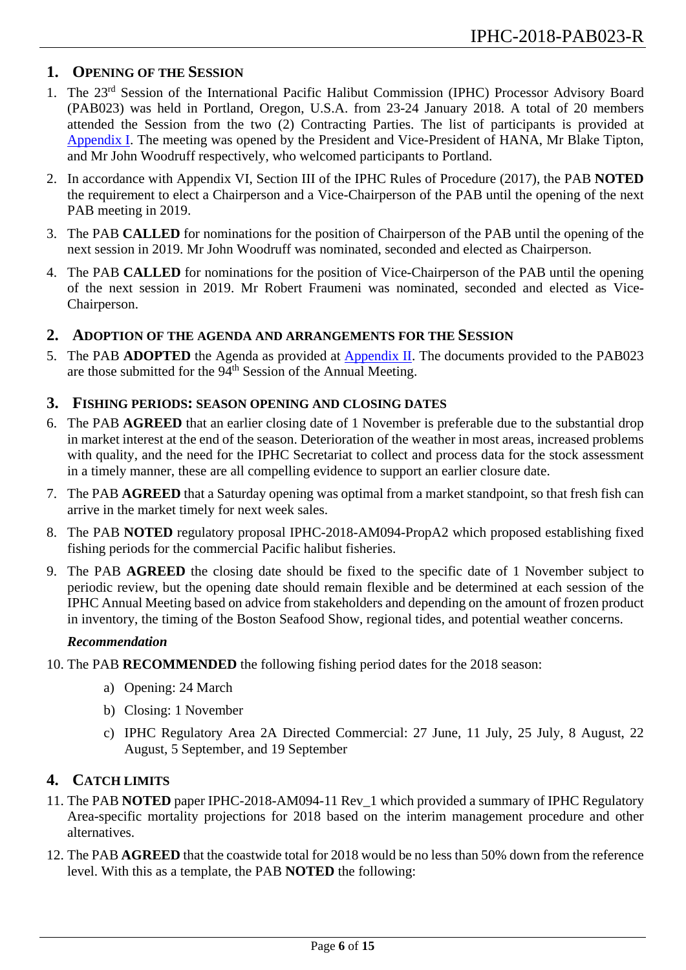### <span id="page-5-0"></span>**1. OPENING OF THE SESSION**

- 1. The 23rd Session of the International Pacific Halibut Commission (IPHC) Processor Advisory Board (PAB023) was held in Portland, Oregon, U.S.A. from 23-24 January 2018. A total of 20 members attended the Session from the two (2) Contracting Parties. The list of participants is provided at [Appendix](#page-10-0) I. The meeting was opened by the President and Vice-President of HANA, Mr Blake Tipton, and Mr John Woodruff respectively, who welcomed participants to Portland.
- 2. In accordance with Appendix VI, Section III of the IPHC Rules of Procedure (2017), the PAB **NOTED** the requirement to elect a Chairperson and a Vice-Chairperson of the PAB until the opening of the next PAB meeting in 2019.
- 3. The PAB **CALLED** for nominations for the position of Chairperson of the PAB until the opening of the next session in 2019. Mr John Woodruff was nominated, seconded and elected as Chairperson.
- 4. The PAB **CALLED** for nominations for the position of Vice-Chairperson of the PAB until the opening of the next session in 2019. Mr Robert Fraumeni was nominated, seconded and elected as Vice-Chairperson.
- <span id="page-5-1"></span>**2. ADOPTION OF THE AGENDA AND ARRANGEMENTS FOR THE SESSION**
- 5. The PAB **ADOPTED** the Agenda as provided at [Appendix II.](#page-11-0) The documents provided to the PAB023 are those submitted for the 94<sup>th</sup> Session of the Annual Meeting.

### <span id="page-5-2"></span>**3. FISHING PERIODS: SEASON OPENING AND CLOSING DATES**

- 6. The PAB **AGREED** that an earlier closing date of 1 November is preferable due to the substantial drop in market interest at the end of the season. Deterioration of the weather in most areas, increased problems with quality, and the need for the IPHC Secretariat to collect and process data for the stock assessment in a timely manner, these are all compelling evidence to support an earlier closure date.
- 7. The PAB **AGREED** that a Saturday opening was optimal from a market standpoint, so that fresh fish can arrive in the market timely for next week sales.
- 8. The PAB **NOTED** regulatory proposal IPHC-2018-AM094-PropA2 which proposed establishing fixed fishing periods for the commercial Pacific halibut fisheries.
- 9. The PAB **AGREED** the closing date should be fixed to the specific date of 1 November subject to periodic review, but the opening date should remain flexible and be determined at each session of the IPHC Annual Meeting based on advice from stakeholders and depending on the amount of frozen product in inventory, the timing of the Boston Seafood Show, regional tides, and potential weather concerns.

### *Recommendation*

- <span id="page-5-4"></span>10. The PAB **RECOMMENDED** the following fishing period dates for the 2018 season:
	- a) Opening: 24 March
	- b) Closing: 1 November
	- c) IPHC Regulatory Area 2A Directed Commercial: 27 June, 11 July, 25 July, 8 August, 22 August, 5 September, and 19 September

# <span id="page-5-3"></span>**4. CATCH LIMITS**

- 11. The PAB **NOTED** paper IPHC-2018-AM094-11 Rev\_1 which provided a summary of IPHC Regulatory Area-specific mortality projections for 2018 based on the interim management procedure and other alternatives.
- 12. The PAB **AGREED** that the coastwide total for 2018 would be no less than 50% down from the reference level. With this as a template, the PAB **NOTED** the following: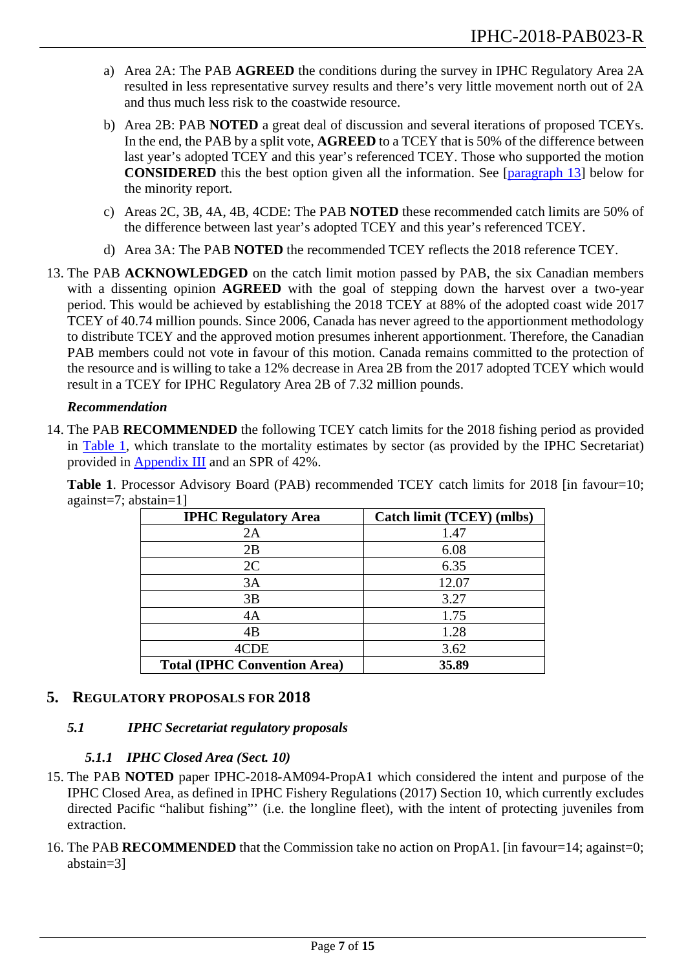- a) Area 2A: The PAB **AGREED** the conditions during the survey in IPHC Regulatory Area 2A resulted in less representative survey results and there's very little movement north out of 2A and thus much less risk to the coastwide resource.
- b) Area 2B: PAB **NOTED** a great deal of discussion and several iterations of proposed TCEYs. In the end, the PAB by a split vote, **AGREED** to a TCEY that is 50% of the difference between last year's adopted TCEY and this year's referenced TCEY. Those who supported the motion **CONSIDERED** this the best option given all the information. See [\[paragraph 13\]](#page-6-4) below for the minority report.
- c) Areas 2C, 3B, 4A, 4B, 4CDE: The PAB **NOTED** these recommended catch limits are 50% of the difference between last year's adopted TCEY and this year's referenced TCEY.
- d) Area 3A: The PAB **NOTED** the recommended TCEY reflects the 2018 reference TCEY.
- <span id="page-6-4"></span>13. The PAB **ACKNOWLEDGED** on the catch limit motion passed by PAB, the six Canadian members with a dissenting opinion **AGREED** with the goal of stepping down the harvest over a two-year period. This would be achieved by establishing the 2018 TCEY at 88% of the adopted coast wide 2017 TCEY of 40.74 million pounds. Since 2006, Canada has never agreed to the apportionment methodology to distribute TCEY and the approved motion presumes inherent apportionment. Therefore, the Canadian PAB members could not vote in favour of this motion. Canada remains committed to the protection of the resource and is willing to take a 12% decrease in Area 2B from the 2017 adopted TCEY which would result in a TCEY for IPHC Regulatory Area 2B of 7.32 million pounds.

### *Recommendation*

<span id="page-6-2"></span>14. The PAB **RECOMMENDED** the following TCEY catch limits for the 2018 fishing period as provided in [Table 1,](#page-6-3) which translate to the mortality estimates by sector (as provided by the IPHC Secretariat) provided in [Appendix III](#page-12-0) and an SPR of 42%.

Table 1. Processor Advisory Board (PAB) recommended TCEY catch limits for 2018 [in favour=10; against=7; abstain=1]

<span id="page-6-3"></span>

| <b>IPHC Regulatory Area</b>         | Catch limit (TCEY) (mlbs) |
|-------------------------------------|---------------------------|
| 2A                                  | 1.47                      |
| 2B                                  | 6.08                      |
| 2C                                  | 6.35                      |
| 3A                                  | 12.07                     |
| 3B                                  | 3.27                      |
| 4A                                  | 1.75                      |
| 4B                                  | 1.28                      |
| 4CDE                                | 3.62                      |
| <b>Total (IPHC Convention Area)</b> | 35.89                     |

# <span id="page-6-1"></span><span id="page-6-0"></span>**5. REGULATORY PROPOSALS FOR 2018**

# *5.1 IPHC Secretariat regulatory proposals*

# *5.1.1 IPHC Closed Area (Sect. 10)*

- 15. The PAB **NOTED** paper IPHC-2018-AM094-PropA1 which considered the intent and purpose of the IPHC Closed Area, as defined in IPHC Fishery Regulations (2017) Section 10, which currently excludes directed Pacific "halibut fishing"' (i.e. the longline fleet), with the intent of protecting juveniles from extraction.
- <span id="page-6-5"></span>16. The PAB **RECOMMENDED** that the Commission take no action on PropA1. [in favour=14; against=0; abstain=3]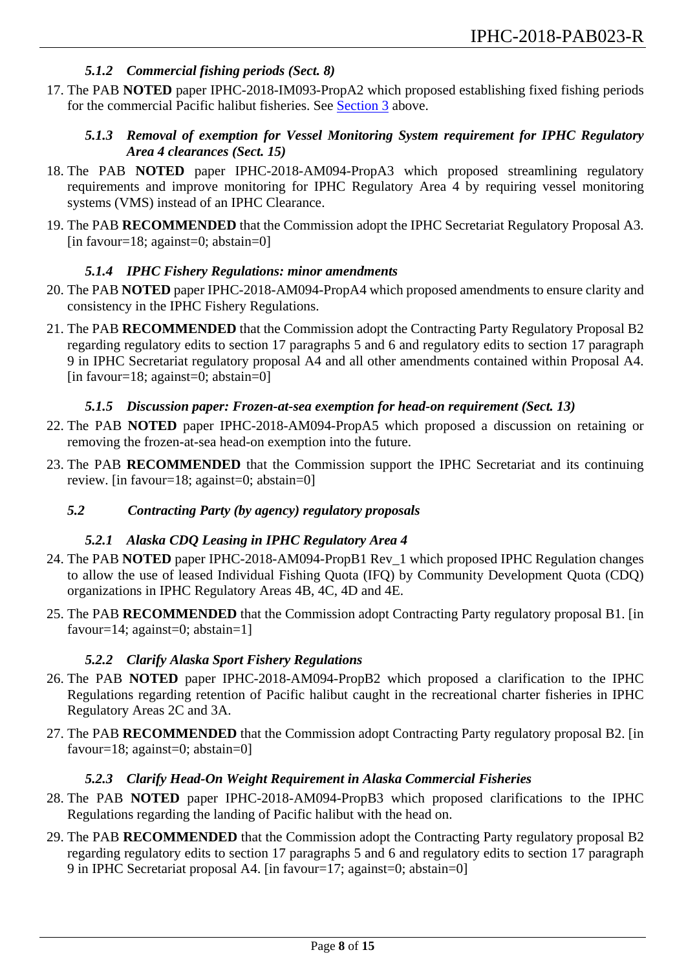### *5.1.2 Commercial fishing periods (Sect. 8)*

17. The PAB **NOTED** paper IPHC-2018-IM093-PropA2 which proposed establishing fixed fishing periods for the commercial Pacific halibut fisheries. See [Section 3](#page-5-2) above.

## *5.1.3 Removal of exemption for Vessel Monitoring System requirement for IPHC Regulatory Area 4 clearances (Sect. 15)*

- 18. The PAB **NOTED** paper IPHC-2018-AM094-PropA3 which proposed streamlining regulatory requirements and improve monitoring for IPHC Regulatory Area 4 by requiring vessel monitoring systems (VMS) instead of an IPHC Clearance.
- <span id="page-7-1"></span>19. The PAB **RECOMMENDED** that the Commission adopt the IPHC Secretariat Regulatory Proposal A3. [in favour=18; against=0; abstain=0]

### *5.1.4 IPHC Fishery Regulations: minor amendments*

- 20. The PAB **NOTED** paper IPHC-2018-AM094-PropA4 which proposed amendments to ensure clarity and consistency in the IPHC Fishery Regulations.
- <span id="page-7-2"></span>21. The PAB **RECOMMENDED** that the Commission adopt the Contracting Party Regulatory Proposal B2 regarding regulatory edits to section 17 paragraphs 5 and 6 and regulatory edits to section 17 paragraph 9 in IPHC Secretariat regulatory proposal A4 and all other amendments contained within Proposal A4.  $\lceil$ in favour=18; against=0; abstain=0]

### *5.1.5 Discussion paper: Frozen-at-sea exemption for head-on requirement (Sect. 13)*

- 22. The PAB **NOTED** paper IPHC-2018-AM094-PropA5 which proposed a discussion on retaining or removing the frozen-at-sea head-on exemption into the future.
- <span id="page-7-3"></span>23. The PAB **RECOMMENDED** that the Commission support the IPHC Secretariat and its continuing review. [in favour=18; against=0; abstain=0]

# <span id="page-7-0"></span>*5.2 Contracting Party (by agency) regulatory proposals*

### *5.2.1 Alaska CDQ Leasing in IPHC Regulatory Area 4*

- 24. The PAB **NOTED** paper IPHC-2018-AM094-PropB1 Rev\_1 which proposed IPHC Regulation changes to allow the use of leased Individual Fishing Quota (IFQ) by Community Development Quota (CDQ) organizations in IPHC Regulatory Areas 4B, 4C, 4D and 4E.
- <span id="page-7-4"></span>25. The PAB **RECOMMENDED** that the Commission adopt Contracting Party regulatory proposal B1. [in favour=14; against=0; abstain=1]

### *5.2.2 Clarify Alaska Sport Fishery Regulations*

- 26. The PAB **NOTED** paper IPHC-2018-AM094-PropB2 which proposed a clarification to the IPHC Regulations regarding retention of Pacific halibut caught in the recreational charter fisheries in IPHC Regulatory Areas 2C and 3A.
- <span id="page-7-5"></span>27. The PAB **RECOMMENDED** that the Commission adopt Contracting Party regulatory proposal B2. [in favour=18; against=0; abstain=0]

# *5.2.3 Clarify Head-On Weight Requirement in Alaska Commercial Fisheries*

- 28. The PAB **NOTED** paper IPHC-2018-AM094-PropB3 which proposed clarifications to the IPHC Regulations regarding the landing of Pacific halibut with the head on.
- <span id="page-7-6"></span>29. The PAB **RECOMMENDED** that the Commission adopt the Contracting Party regulatory proposal B2 regarding regulatory edits to section 17 paragraphs 5 and 6 and regulatory edits to section 17 paragraph 9 in IPHC Secretariat proposal A4. [in favour=17; against=0; abstain=0]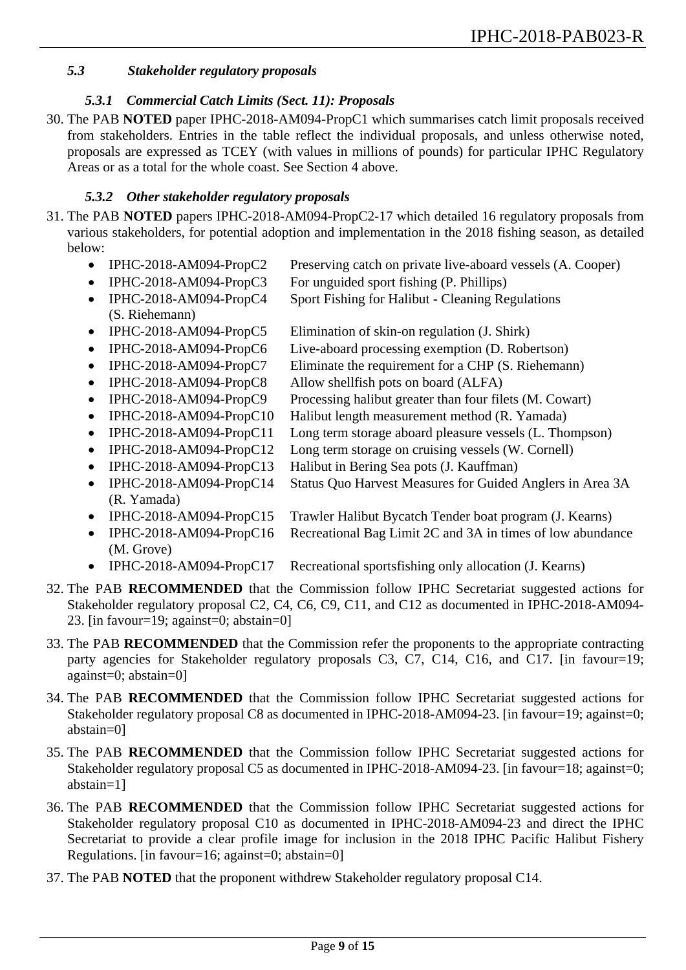## <span id="page-8-0"></span>*5.3 Stakeholder regulatory proposals*

## *5.3.1 Commercial Catch Limits (Sect. 11): Proposals*

30. The PAB **NOTED** paper IPHC-2018-AM094-PropC1 which summarises catch limit proposals received from stakeholders. Entries in the table reflect the individual proposals, and unless otherwise noted, proposals are expressed as TCEY (with values in millions of pounds) for particular IPHC Regulatory Areas or as a total for the whole coast. See Section 4 above.

### *5.3.2 Other stakeholder regulatory proposals*

- 31. The PAB **NOTED** papers IPHC-2018-AM094-PropC2-17 which detailed 16 regulatory proposals from various stakeholders, for potential adoption and implementation in the 2018 fishing season, as detailed below:
	- IPHC-2018-AM094-PropC2 Preserving catch on private live-aboard vessels (A. Cooper)
	- IPHC-2018-AM094-PropC3 For unguided sport fishing (P. Phillips)
	- IPHC-2018-AM094-PropC4 Sport Fishing for Halibut Cleaning Regulations (S. Riehemann)
	- IPHC-2018-AM094-PropC5 Elimination of skin-on regulation (J. Shirk)
	- IPHC-2018-AM094-PropC6 Live-aboard processing exemption (D. Robertson)
	- IPHC-2018-AM094-PropC7 Eliminate the requirement for a CHP (S. Riehemann)
	- IPHC-2018-AM094-PropC8 Allow shellfish pots on board (ALFA)
	- IPHC-2018-AM094-PropC9 Processing halibut greater than four filets (M. Cowart)
	- IPHC-2018-AM094-PropC10 Halibut length measurement method (R. Yamada)
		- IPHC-2018-AM094-PropC11 Long term storage aboard pleasure vessels (L. Thompson)
	- IPHC-2018-AM094-PropC12 Long term storage on cruising vessels (W. Cornell)
	- IPHC-2018-AM094-PropC13 Halibut in Bering Sea pots (J. Kauffman)
	- IPHC-2018-AM094-PropC14 Status Quo Harvest Measures for Guided Anglers in Area 3A (R. Yamada)
	- IPHC-2018-AM094-PropC15 Trawler Halibut Bycatch Tender boat program (J. Kearns)
	- IPHC-2018-AM094-PropC16 Recreational Bag Limit 2C and 3A in times of low abundance (M. Grove)
	- IPHC-2018-AM094-PropC17 Recreational sportsfishing only allocation (J. Kearns)
- <span id="page-8-1"></span>32. The PAB **RECOMMENDED** that the Commission follow IPHC Secretariat suggested actions for Stakeholder regulatory proposal C2, C4, C6, C9, C11, and C12 as documented in IPHC-2018-AM094- 23. [in favour=19; against=0; abstain=0]
- <span id="page-8-2"></span>33. The PAB **RECOMMENDED** that the Commission refer the proponents to the appropriate contracting party agencies for Stakeholder regulatory proposals C3, C7, C14, C16, and C17. [in favour=19; against=0; abstain=0]
- <span id="page-8-3"></span>34. The PAB **RECOMMENDED** that the Commission follow IPHC Secretariat suggested actions for Stakeholder regulatory proposal C8 as documented in IPHC-2018-AM094-23. [in favour=19; against=0; abstain=0]
- <span id="page-8-4"></span>35. The PAB **RECOMMENDED** that the Commission follow IPHC Secretariat suggested actions for Stakeholder regulatory proposal C5 as documented in IPHC-2018-AM094-23. [in favour=18; against=0; abstain=1]
- <span id="page-8-5"></span>36. The PAB **RECOMMENDED** that the Commission follow IPHC Secretariat suggested actions for Stakeholder regulatory proposal C10 as documented in IPHC-2018-AM094-23 and direct the IPHC Secretariat to provide a clear profile image for inclusion in the 2018 IPHC Pacific Halibut Fishery Regulations. [in favour=16; against=0; abstain=0]
- 37. The PAB **NOTED** that the proponent withdrew Stakeholder regulatory proposal C14.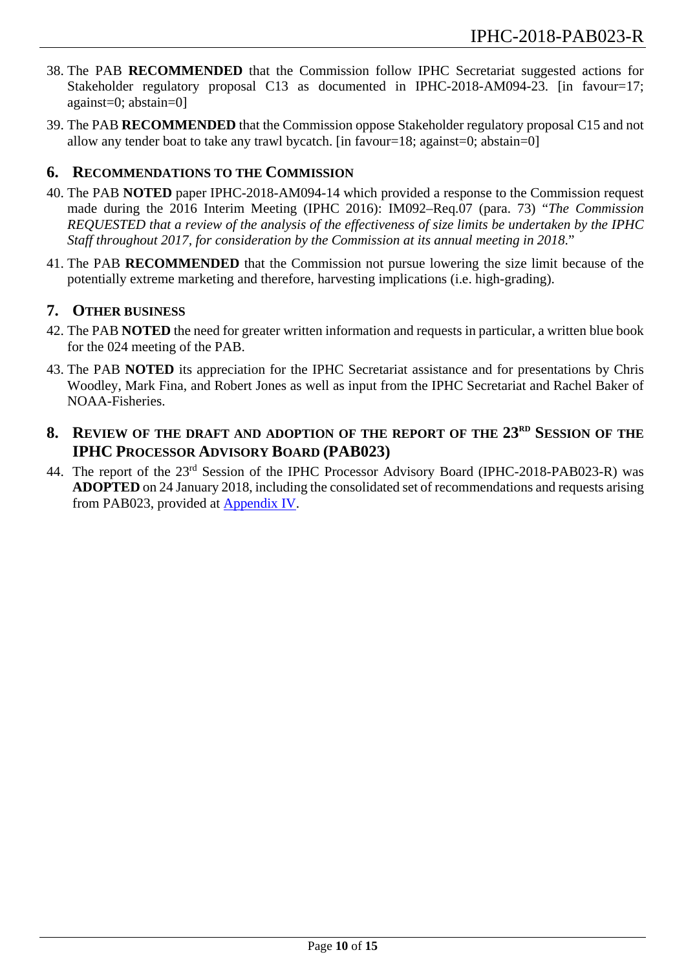- <span id="page-9-4"></span>38. The PAB **RECOMMENDED** that the Commission follow IPHC Secretariat suggested actions for Stakeholder regulatory proposal C13 as documented in IPHC-2018-AM094-23. [in favour=17: against=0; abstain=0]
- <span id="page-9-5"></span>39. The PAB **RECOMMENDED** that the Commission oppose Stakeholder regulatory proposal C15 and not allow any tender boat to take any trawl bycatch. [in favour=18; against=0; abstain=0]

# <span id="page-9-0"></span>**6. RECOMMENDATIONS TO THE COMMISSION**

- 40. The PAB **NOTED** paper IPHC-2018-AM094-14 which provided a response to the Commission request made during the 2016 Interim Meeting (IPHC 2016): IM092–Req.07 (para. 73) "*The Commission REQUESTED that a review of the analysis of the effectiveness of size limits be undertaken by the IPHC Staff throughout 2017, for consideration by the Commission at its annual meeting in 2018*."
- <span id="page-9-3"></span>41. The PAB **RECOMMENDED** that the Commission not pursue lowering the size limit because of the potentially extreme marketing and therefore, harvesting implications (i.e. high-grading).

# <span id="page-9-1"></span>**7. OTHER BUSINESS**

- 42. The PAB **NOTED** the need for greater written information and requests in particular, a written blue book for the 024 meeting of the PAB.
- 43. The PAB **NOTED** its appreciation for the IPHC Secretariat assistance and for presentations by Chris Woodley, Mark Fina, and Robert Jones as well as input from the IPHC Secretariat and Rachel Baker of NOAA-Fisheries.
- <span id="page-9-2"></span>**8. REVIEW OF THE DRAFT AND ADOPTION OF THE REPORT OF THE 23RD SESSION OF THE IPHC PROCESSOR ADVISORY BOARD (PAB023)**
- 44. The report of the 23<sup>rd</sup> Session of the IPHC Processor Advisory Board (IPHC-2018-PAB023-R) was **ADOPTED** on 24 January 2018, including the consolidated set of recommendations and requests arising from PAB023, provided at [Appendix](#page-13-0) IV.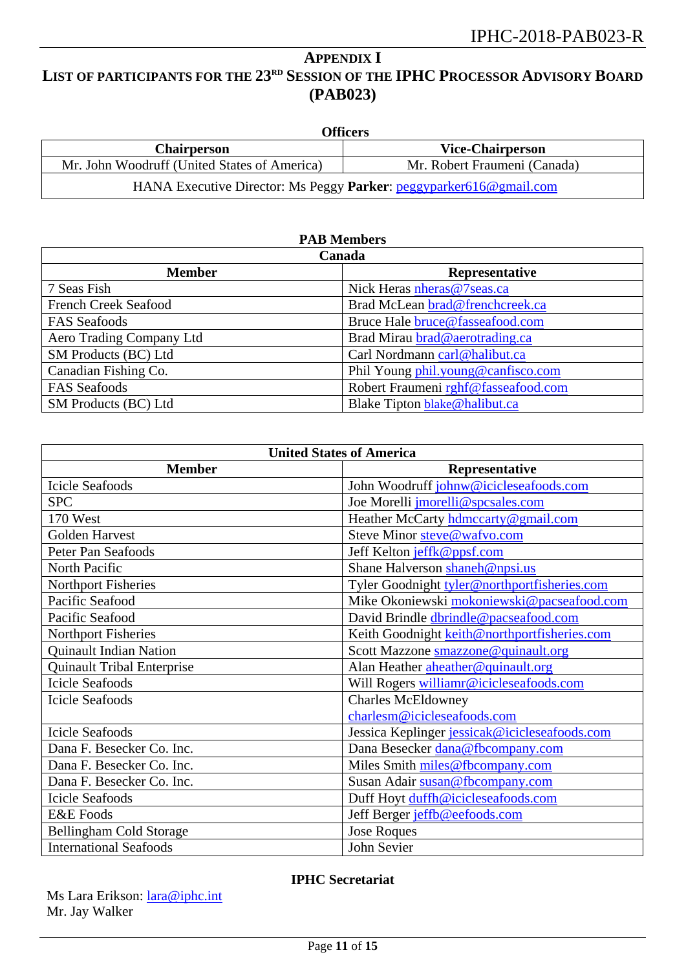# <span id="page-10-0"></span>**APPENDIX I** LIST OF PARTICIPANTS FOR THE 23<sup>RD</sup> SESSION OF THE IPHC PROCESSOR ADVISORY BOARD **(PAB023)**

| <b>Officers</b>                                                    |                              |  |  |  |  |
|--------------------------------------------------------------------|------------------------------|--|--|--|--|
| <b>Vice-Chairperson</b><br><b>Chairperson</b>                      |                              |  |  |  |  |
| Mr. John Woodruff (United States of America)                       | Mr. Robert Fraumeni (Canada) |  |  |  |  |
| HANA Executive Director: Ms Peggy Parker: peggyparker616@gmail.com |                              |  |  |  |  |

| <b>PAB Members</b>          |                                     |  |  |
|-----------------------------|-------------------------------------|--|--|
| Canada                      |                                     |  |  |
| <b>Member</b>               | <b>Representative</b>               |  |  |
| 7 Seas Fish                 | Nick Heras nheras@7seas.ca          |  |  |
| <b>French Creek Seafood</b> | Brad McLean brad@frenchcreek.ca     |  |  |
| <b>FAS Seafoods</b>         | Bruce Hale bruce@fasseafood.com     |  |  |
| Aero Trading Company Ltd    | Brad Mirau brad@aerotrading.ca      |  |  |
| SM Products (BC) Ltd        | Carl Nordmann carl@halibut.ca       |  |  |
| Canadian Fishing Co.        | Phil Young phil.young@canfisco.com  |  |  |
| <b>FAS Seafoods</b>         | Robert Fraumeni rghf@fasseafood.com |  |  |
| SM Products (BC) Ltd        | Blake Tipton blake@halibut.ca       |  |  |

| <b>United States of America</b>   |                                               |  |  |
|-----------------------------------|-----------------------------------------------|--|--|
| <b>Member</b>                     | Representative                                |  |  |
| <b>Icicle Seafoods</b>            | John Woodruff johnw@icicleseafoods.com        |  |  |
| <b>SPC</b>                        | Joe Morelli <i>jmorelli@spcsales.com</i>      |  |  |
| 170 West                          | Heather McCarty hdmccarty@gmail.com           |  |  |
| Golden Harvest                    | Steve Minor steve@wafvo.com                   |  |  |
| Peter Pan Seafoods                | Jeff Kelton jeffk@ppsf.com                    |  |  |
| North Pacific                     | Shane Halverson shaneh@npsi.us                |  |  |
| <b>Northport Fisheries</b>        | Tyler Goodnight tyler@northportfisheries.com  |  |  |
| Pacific Seafood                   | Mike Okoniewski mokoniewski@pacseafood.com    |  |  |
| Pacific Seafood                   | David Brindle dbrindle@pacseafood.com         |  |  |
| <b>Northport Fisheries</b>        | Keith Goodnight keith@northportfisheries.com  |  |  |
| <b>Quinault Indian Nation</b>     | Scott Mazzone smazzone@quinault.org           |  |  |
| <b>Quinault Tribal Enterprise</b> | Alan Heather aheather@quinault.org            |  |  |
| <b>Icicle Seafoods</b>            | Will Rogers williamr@icicleseafoods.com       |  |  |
| <b>Icicle Seafoods</b>            | <b>Charles McEldowney</b>                     |  |  |
|                                   | charlesm@icicleseafoods.com                   |  |  |
| <b>Icicle Seafoods</b>            | Jessica Keplinger jessicak@icicleseafoods.com |  |  |
| Dana F. Besecker Co. Inc.         | Dana Besecker dana@fbcompany.com              |  |  |
| Dana F. Besecker Co. Inc.         | Miles Smith miles@fbcompany.com               |  |  |
| Dana F. Besecker Co. Inc.         | Susan Adair susan@fbcompany.com               |  |  |
| <b>Icicle Seafoods</b>            | Duff Hoyt duffh@icicleseafoods.com            |  |  |
| <b>E&amp;E</b> Foods              | Jeff Berger jeffb@eefoods.com                 |  |  |
| Bellingham Cold Storage           | <b>Jose Roques</b>                            |  |  |
| <b>International Seafoods</b>     | John Sevier                                   |  |  |

Ms Lara Erikson: [lara@iphc.int](mailto:lara@iphc.int) Mr. Jay Walker

**IPHC Secretariat**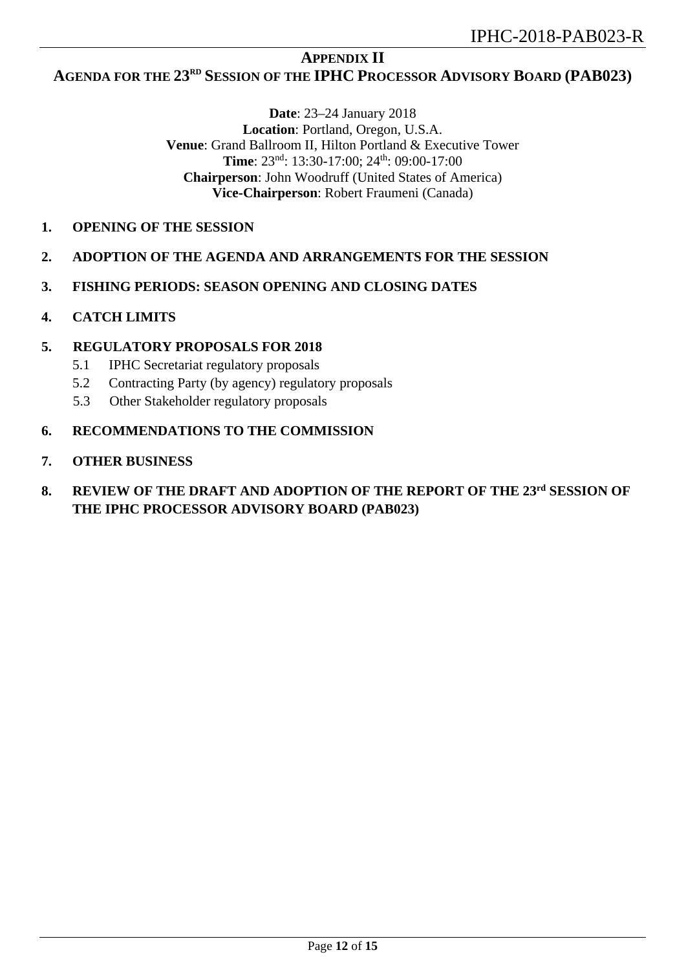### **APPENDIX II**

# <span id="page-11-0"></span>**AGENDA FOR THE 23RD SESSION OF THE IPHC PROCESSOR ADVISORY BOARD (PAB023)**

**Date**: 23–24 January 2018 **Location**: Portland, Oregon, U.S.A. **Venue**: Grand Ballroom II, Hilton Portland & Executive Tower **Time**:  $23^{nd}$ :  $13:30-17:00$ :  $24^{th}$ :  $09:00-17:00$ **Chairperson**: John Woodruff (United States of America) **Vice-Chairperson**: Robert Fraumeni (Canada)

**1. OPENING OF THE SESSION**

### **2. ADOPTION OF THE AGENDA AND ARRANGEMENTS FOR THE SESSION**

### **3. FISHING PERIODS: SEASON OPENING AND CLOSING DATES**

**4. CATCH LIMITS**

### **5. REGULATORY PROPOSALS FOR 2018**

- 5.1 IPHC Secretariat regulatory proposals
- 5.2 Contracting Party (by agency) regulatory proposals
- 5.3 Other Stakeholder regulatory proposals

### **6. RECOMMENDATIONS TO THE COMMISSION**

### **7. OTHER BUSINESS**

# 8. REVIEW OF THE DRAFT AND ADOPTION OF THE REPORT OF THE 23<sup>rd</sup> SESSION OF **THE IPHC PROCESSOR ADVISORY BOARD (PAB023)**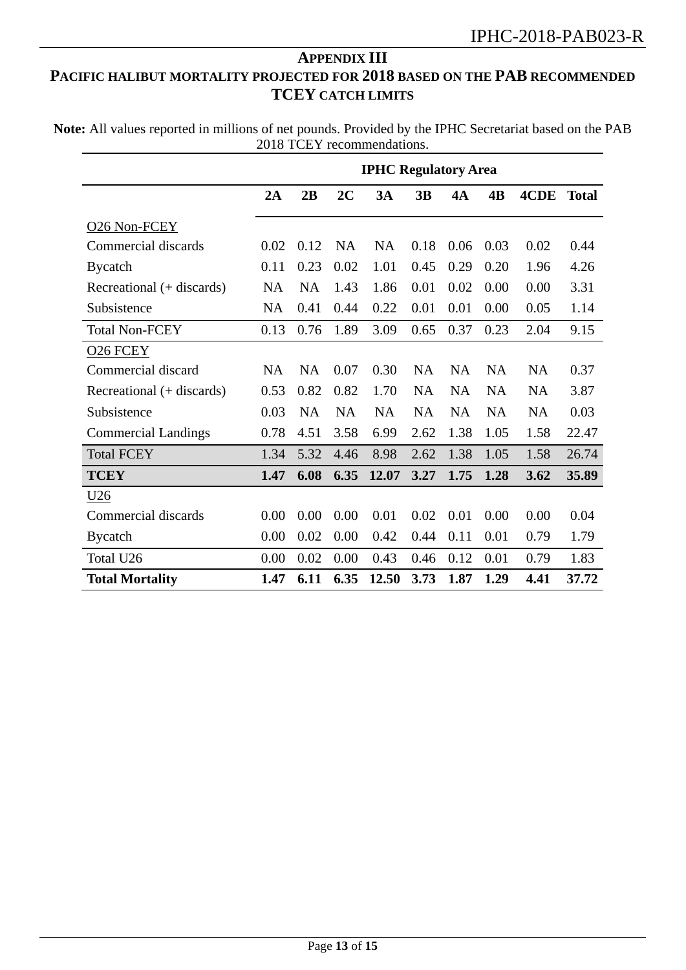# <span id="page-12-0"></span>**APPENDIX III PACIFIC HALIBUT MORTALITY PROJECTED FOR 2018 BASED ON THE PAB RECOMMENDED TCEY CATCH LIMITS**

**Note:** All values reported in millions of net pounds. Provided by the IPHC Secretariat based on the PAB 2018 TCEY recommendations.

|                            | <b>IPHC Regulatory Area</b> |           |           |           |           |           |           |           |              |
|----------------------------|-----------------------------|-----------|-----------|-----------|-----------|-----------|-----------|-----------|--------------|
|                            | 2A                          | 2B        | 2C        | 3A        | 3B        | 4A        | 4B        | 4CDE      | <b>Total</b> |
| O <sub>26</sub> Non-FCEY   |                             |           |           |           |           |           |           |           |              |
| Commercial discards        | 0.02                        | 0.12      | <b>NA</b> | <b>NA</b> | 0.18      | 0.06      | 0.03      | 0.02      | 0.44         |
| <b>Bycatch</b>             | 0.11                        | 0.23      | 0.02      | 1.01      | 0.45      | 0.29      | 0.20      | 1.96      | 4.26         |
| Recreational (+ discards)  | <b>NA</b>                   | <b>NA</b> | 1.43      | 1.86      | 0.01      | 0.02      | 0.00      | 0.00      | 3.31         |
| Subsistence                | <b>NA</b>                   | 0.41      | 0.44      | 0.22      | 0.01      | 0.01      | 0.00      | 0.05      | 1.14         |
| <b>Total Non-FCEY</b>      | 0.13                        | 0.76      | 1.89      | 3.09      | 0.65      | 0.37      | 0.23      | 2.04      | 9.15         |
| O <sub>26</sub> FCEY       |                             |           |           |           |           |           |           |           |              |
| Commercial discard         | <b>NA</b>                   | <b>NA</b> | 0.07      | 0.30      | <b>NA</b> | <b>NA</b> | <b>NA</b> | <b>NA</b> | 0.37         |
| Recreational (+ discards)  | 0.53                        | 0.82      | 0.82      | 1.70      | <b>NA</b> | <b>NA</b> | <b>NA</b> | <b>NA</b> | 3.87         |
| Subsistence                | 0.03                        | <b>NA</b> | <b>NA</b> | <b>NA</b> | <b>NA</b> | <b>NA</b> | <b>NA</b> | <b>NA</b> | 0.03         |
| <b>Commercial Landings</b> | 0.78                        | 4.51      | 3.58      | 6.99      | 2.62      | 1.38      | 1.05      | 1.58      | 22.47        |
| <b>Total FCEY</b>          | 1.34                        | 5.32      | 4.46      | 8.98      | 2.62      | 1.38      | 1.05      | 1.58      | 26.74        |
| <b>TCEY</b>                | 1.47                        | 6.08      | 6.35      | 12.07     | 3.27      | 1.75      | 1.28      | 3.62      | 35.89        |
| U <sub>26</sub>            |                             |           |           |           |           |           |           |           |              |
| Commercial discards        | 0.00                        | 0.00      | 0.00      | 0.01      | 0.02      | 0.01      | 0.00      | 0.00      | 0.04         |
| <b>Bycatch</b>             | 0.00                        | 0.02      | 0.00      | 0.42      | 0.44      | 0.11      | 0.01      | 0.79      | 1.79         |
| Total U26                  | 0.00                        | 0.02      | 0.00      | 0.43      | 0.46      | 0.12      | 0.01      | 0.79      | 1.83         |
| <b>Total Mortality</b>     | 1.47                        | 6.11      | 6.35      | 12.50     | 3.73      | 1.87      | 1.29      | 4.41      | 37.72        |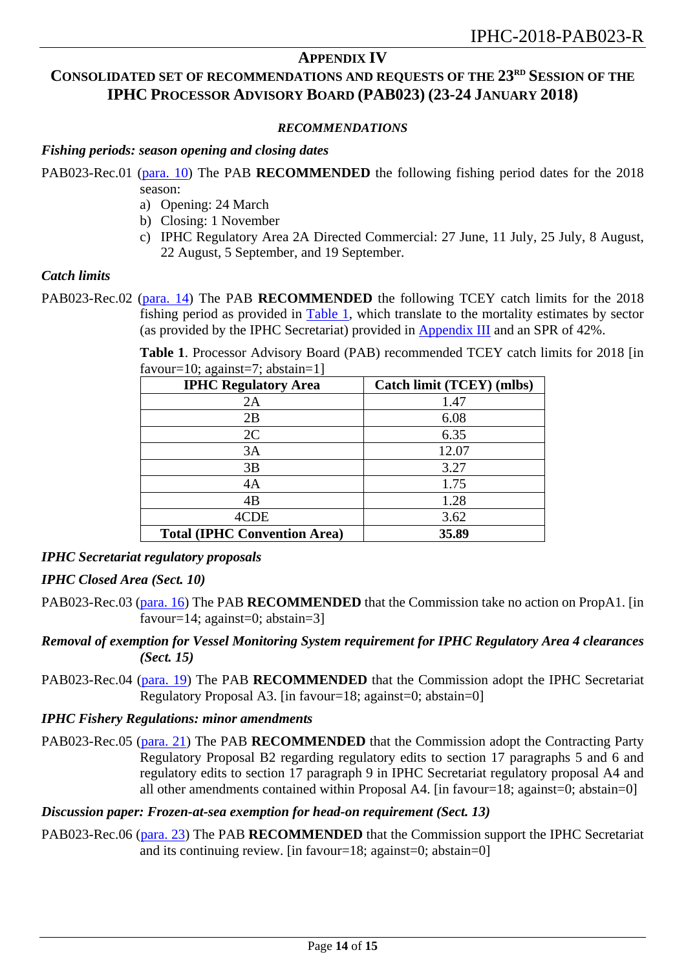### **APPENDIX IV**

# <span id="page-13-0"></span>CONSOLIDATED SET OF RECOMMENDATIONS AND REQUESTS OF THE 23<sup>RD</sup> SESSION OF THE **IPHC PROCESSOR ADVISORY BOARD (PAB023) (23-24 JANUARY 2018)**

#### *RECOMMENDATIONS*

#### *Fishing periods: season opening and closing dates*

PAB023-Rec.01 [\(para.](#page-5-4) 10) The PAB **RECOMMENDED** the following fishing period dates for the 2018 season:

- a) Opening: 24 March
- b) Closing: 1 November
- c) IPHC Regulatory Area 2A Directed Commercial: 27 June, 11 July, 25 July, 8 August, 22 August, 5 September, and 19 September.

### *Catch limits*

PAB023-Rec.02 [\(para.](#page-6-2) 14) The PAB **RECOMMENDED** the following TCEY catch limits for the 2018 fishing period as provided in [Table 1,](#page-6-3) which translate to the mortality estimates by sector (as provided by the IPHC Secretariat) provided in [Appendix III](#page-12-0) and an SPR of 42%.

> **Table 1**. Processor Advisory Board (PAB) recommended TCEY catch limits for 2018 [in favour=10; against=7; abstain=1]

| - 10<br><b>IPHC Regulatory Area</b> | Catch limit (TCEY) (mlbs) |
|-------------------------------------|---------------------------|
| 2A                                  | 1.47                      |
| 2B                                  | 6.08                      |
| 2C                                  | 6.35                      |
| 3A                                  | 12.07                     |
| 3B                                  | 3.27                      |
| 4A                                  | 1.75                      |
| 4B                                  | 1.28                      |
| 4CDE                                | 3.62                      |
| <b>Total (IPHC Convention Area)</b> | 35.89                     |

### *IPHC Secretariat regulatory proposals*

### *IPHC Closed Area (Sect. 10)*

- PAB023-Rec.03 [\(para.](#page-6-5) 16) The PAB **RECOMMENDED** that the Commission take no action on PropA1. [in favour=14; against=0; abstain=3]
- *Removal of exemption for Vessel Monitoring System requirement for IPHC Regulatory Area 4 clearances (Sect. 15)*
- PAB023-Rec.04 [\(para. 19\)](#page-7-1) The PAB **RECOMMENDED** that the Commission adopt the IPHC Secretariat Regulatory Proposal A3. [in favour=18; against=0; abstain=0]

#### *IPHC Fishery Regulations: minor amendments*

PAB023-Rec.05 [\(para.](#page-7-2) 21) The PAB **RECOMMENDED** that the Commission adopt the Contracting Party Regulatory Proposal B2 regarding regulatory edits to section 17 paragraphs 5 and 6 and regulatory edits to section 17 paragraph 9 in IPHC Secretariat regulatory proposal A4 and all other amendments contained within Proposal A4. [in favour=18; against=0; abstain=0]

#### *Discussion paper: Frozen-at-sea exemption for head-on requirement (Sect. 13)*

PAB023-Rec.06 [\(para.](#page-7-3) 23) The PAB **RECOMMENDED** that the Commission support the IPHC Secretariat and its continuing review. [in favour=18; against=0; abstain=0]